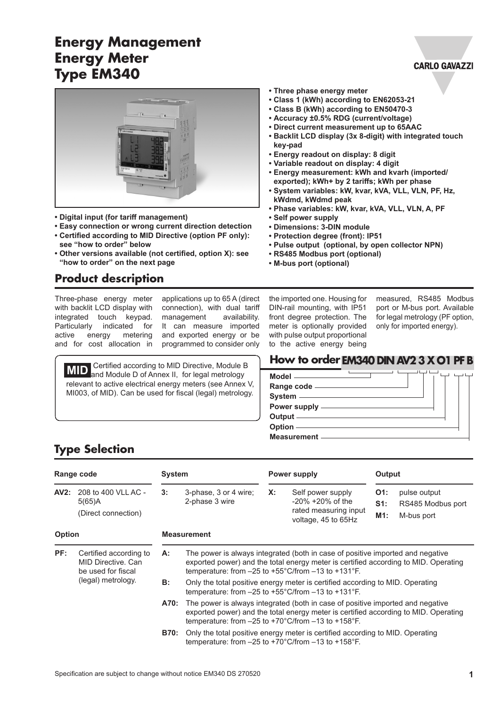# **Energy Management Energy Meter Type EM340**



- **• Digital input (for tariff management)**
- **• Easy connection or wrong current direction detection • Certified according to MID Directive (option PF only):**
- **see "how to order" below • Other versions available (not certified, option X): see "how to order" on the next page**
- **Product description**

Three-phase energy meter with backlit LCD display with integrated touch keypad. Particularly indicated for active energy metering and for cost allocation in

applications up to 65 A (direct connection), with dual tariff<br>management availability. management It can measure imported and exported energy or be programmed to consider only

**MID** and Module D of Annex II, for legal metrology relevant to active electrical energy meters (see Annex V, MI003, of MID). Can be used for fiscal (legal) metrology.

- **• Three phase energy meter**
- **• Class 1 (kWh) according to EN62053-21**
- **• Class B (kWh) according to EN50470-3**
- **• Accuracy ±0.5% RDG (current/voltage)**
- **• Direct current measurement up to 65AAC**
- **• Backlit LCD display (3x 8-digit) with integrated touch key-pad**
- **• Energy readout on display: 8 digit**
- **• Variable readout on display: 4 digit**
- **• Energy measurement: kWh and kvarh (imported/ exported); kWh+ by 2 tariffs; kWh per phase**
- **• System variables: kW, kvar, kVA, VLL, VLN, PF, Hz, kWdmd, kWdmd peak**
- **• Phase variables: kW, kvar, kVA, VLL, VLN, A, PF**
- **• Self power supply**
- **• Dimensions: 3-DIN module**
- **• Protection degree (front): IP51**
- **• Pulse output (optional, by open collector NPN)**
- **• RS485 Modbus port (optional)**
- **• M-bus port (optional)**

the imported one. Housing for DIN-rail mounting, with IP51 front degree protection. The meter is optionally provided with pulse output proportional to the active energy being

measured, RS485 Modbus port or M-bus port. Available for legal metrology (PF option, only for imported energy).

#### **How to order <b>EM340 DIN AV2 3 X O1 PF B**

| Model ______________                   |  |
|----------------------------------------|--|
|                                        |  |
| System <u>________________________</u> |  |
|                                        |  |
|                                        |  |
| Option ———————                         |  |
| Measurement —                          |  |

#### **Type Selection**

| Range code    |                                                                    | <b>System</b>      |                                                                                                                                                             |       | Power supply                                                                                                                                                                                                                                        |                      | Output                                          |  |
|---------------|--------------------------------------------------------------------|--------------------|-------------------------------------------------------------------------------------------------------------------------------------------------------------|-------|-----------------------------------------------------------------------------------------------------------------------------------------------------------------------------------------------------------------------------------------------------|----------------------|-------------------------------------------------|--|
| AV2:          | 208 to 400 VLL AC -<br>5(65)A<br>(Direct connection)               | 3:                 | 3-phase, 3 or 4 wire;<br>2-phase 3 wire                                                                                                                     | $X$ : | Self power supply<br>$-20\% + 20\%$ of the<br>rated measuring input<br>voltage, 45 to 65Hz                                                                                                                                                          | O1:<br>$S1$ :<br>M1: | pulse output<br>RS485 Modbus port<br>M-bus port |  |
| <b>Option</b> |                                                                    | <b>Measurement</b> |                                                                                                                                                             |       |                                                                                                                                                                                                                                                     |                      |                                                 |  |
| PF:           | Certified according to<br>MID Directive, Can<br>be used for fiscal | А:                 |                                                                                                                                                             |       | The power is always integrated (both in case of positive imported and negative<br>exported power) and the total energy meter is certified according to MID. Operating<br>temperature: from $-25$ to $+55^{\circ}$ C/from $-13$ to $+131^{\circ}$ F. |                      |                                                 |  |
|               | (legal) metrology.                                                 | <b>B:</b>          | Only the total positive energy meter is certified according to MID. Operating<br>temperature: from $-25$ to $+55^{\circ}$ C/from $-13$ to $+131^{\circ}$ F. |       |                                                                                                                                                                                                                                                     |                      |                                                 |  |
|               |                                                                    | A70:               |                                                                                                                                                             |       | The power is always integrated (both in case of positive imported and negative<br>exported power) and the total energy meter is certified according to MID. Operating<br>temperature: from -25 to +70°C/from -13 to +158°F.                         |                      |                                                 |  |
|               |                                                                    | B70:               | Only the total positive energy meter is certified according to MID. Operating<br>temperature: from $-25$ to $+70^{\circ}$ C/from $-13$ to $+158^{\circ}$ F. |       |                                                                                                                                                                                                                                                     |                      |                                                 |  |

#### **CARLO GAVAZZI**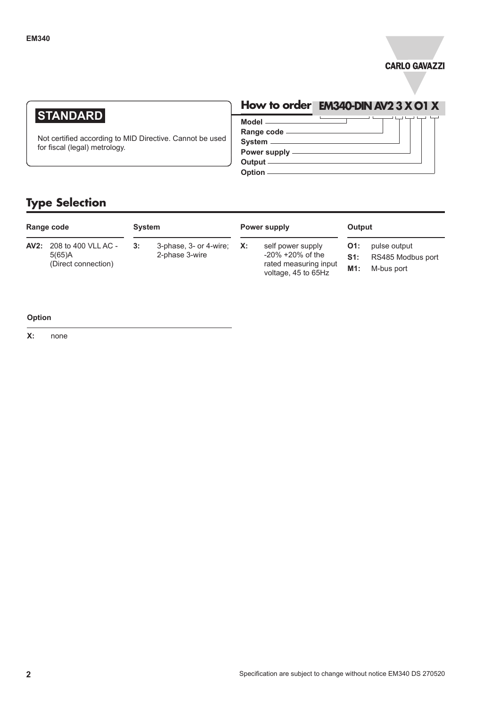

# **STANDARD**

Not certified according to MID Directive. Cannot be used for fiscal (legal) metrology.

# **How to order EM340-DIN AV2 3 X O1 X**

**Model Range code System Power supply**

**Output Option**

**Output**

**AV2:** 208 to 400 VLL AC - 5(65)A (Direct connection)

**Type Selection**

**System 3:** 3-phase, 3- or 4-wire; 2-phase 3-wire

# **Power supply**

**X:** self power supply -20% +20% of the rated measuring input voltage, 45 to 65Hz

- **O1:** pulse output
- **S1:** RS485 Modbus port
- **M1:** M-bus port

#### **Option**

**X:** none

**Range code**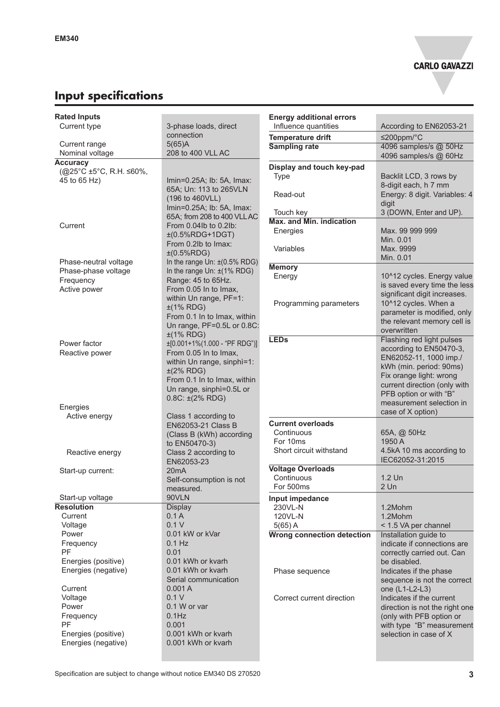# **Input specifications**

| <b>Rated Inputs</b>                |                                                       | <b>Energy additional errors</b>                |                                                      |
|------------------------------------|-------------------------------------------------------|------------------------------------------------|------------------------------------------------------|
| Current type                       | 3-phase loads, direct                                 | Influence quantities                           | According to EN62053-21                              |
|                                    | connection                                            | <b>Temperature drift</b>                       | $≤200$ ppm/°C                                        |
| Current range                      | 5(65)A                                                | <b>Sampling rate</b>                           | 4096 samples/s @ 50Hz                                |
| Nominal voltage<br><b>Accuracy</b> | 208 to 400 VLL AC                                     |                                                | 4096 samples/s @ 60Hz                                |
| (@25°C ±5°C, R.H. ≤60%,            |                                                       | Display and touch key-pad                      |                                                      |
| 45 to 65 Hz)                       | Imin=0.25A; lb: 5A, Imax:                             | <b>Type</b>                                    | Backlit LCD, 3 rows by                               |
|                                    | 65A; Un: 113 to 265VLN                                |                                                | 8-digit each, h 7 mm                                 |
|                                    | (196 to 460VLL)                                       | Read-out                                       | Energy: 8 digit. Variables: 4                        |
|                                    | Imin=0.25A; lb: 5A, Imax:                             |                                                | digit                                                |
|                                    | 65A; from 208 to 400 VLL AC                           | Touch key<br><b>Max. and Min. indication</b>   | 3 (DOWN, Enter and UP).                              |
| Current                            | From 0.04lb to 0.2lb:                                 | Energies                                       | Max. 99 999 999                                      |
|                                    | $±(0.5%RDG+1DGT)$                                     |                                                | Min. 0.01                                            |
|                                    | From 0.2lb to Imax:                                   | Variables                                      | Max. 9999                                            |
|                                    | ±(0.5%RDG)                                            |                                                | Min. 0.01                                            |
| Phase-neutral voltage              | In the range Un: $\pm$ (0.5% RDG)                     | <b>Memory</b>                                  |                                                      |
| Phase-phase voltage<br>Frequency   | In the range Un: $\pm$ (1% RDG)<br>Range: 45 to 65Hz. | Energy                                         | 10^12 cycles. Energy value                           |
| Active power                       | From 0.05 In to Imax,                                 |                                                | is saved every time the less                         |
|                                    | within Un range, PF=1:                                |                                                | significant digit increases.                         |
|                                    | $±(1\%$ RDG)                                          | Programming parameters                         | 10^12 cycles. When a                                 |
|                                    | From 0.1 In to Imax, within                           |                                                | parameter is modified, only                          |
|                                    | Un range, PF=0.5L or 0.8C:                            |                                                | the relevant memory cell is                          |
|                                    | $±(1\%$ RDG)                                          | <b>LED<sub>s</sub></b>                         | overwritten                                          |
| Power factor                       | $\pm$ [0.001+1%(1.000 - "PF RDG")]                    |                                                | Flashing red light pulses<br>according to EN50470-3, |
| Reactive power                     | From 0.05 In to Imax,                                 |                                                | EN62052-11, 1000 imp./                               |
|                                    | within Un range, sinphi=1:                            |                                                | kWh (min. period: 90ms)                              |
|                                    | $\pm$ (2% RDG)                                        |                                                | Fix orange light: wrong                              |
|                                    | From 0.1 In to Imax, within                           |                                                | current direction (only with                         |
|                                    | Un range, sinphì=0.5L or                              |                                                | PFB option or with "B"                               |
| Energies                           | $0.8C: \pm (2\% \text{ RDG})$                         |                                                | measurement selection in                             |
| Active energy                      | Class 1 according to                                  |                                                | case of X option)                                    |
|                                    | EN62053-21 Class B                                    | <b>Current overloads</b>                       |                                                      |
|                                    | (Class B (kWh) according                              | Continuous                                     | 65A, @ 50Hz                                          |
|                                    | to EN50470-3)                                         | For 10ms                                       | 1950 A                                               |
| Reactive energy                    | Class 2 according to                                  | Short circuit withstand                        | 4.5kA 10 ms according to                             |
|                                    | EN62053-23                                            |                                                | IEC62052-31:2015                                     |
| Start-up current:                  | 20mA                                                  | <b>Voltage Overloads</b>                       |                                                      |
|                                    | Self-consumption is not                               | Continuous                                     | 1.2 Un                                               |
|                                    | measured.                                             | For 500ms                                      | $2$ Un                                               |
| Start-up voltage                   | 90VLN                                                 | Input impedance                                |                                                      |
| <b>Resolution</b>                  | <b>Display</b>                                        | 230VL-N                                        | 1.2Mohm                                              |
| Current<br>Voltage                 | 0.1A<br>0.1V                                          | 120VL-N                                        | 1.2Mohm                                              |
| Power                              | 0.01 kW or kVar                                       | $5(65)$ A<br><b>Wrong connection detection</b> | < 1.5 VA per channel<br>Installation guide to        |
| Frequency                          | $0.1$ Hz                                              |                                                | indicate if connections are                          |
| <b>PF</b>                          | 0.01                                                  |                                                | correctly carried out. Can                           |
| Energies (positive)                | 0.01 kWh or kvarh                                     |                                                | be disabled.                                         |
| Energies (negative)                | 0.01 kWh or kvarh                                     | Phase sequence                                 | Indicates if the phase                               |
|                                    | Serial communication                                  |                                                | sequence is not the correct                          |
| Current                            | 0.001A                                                |                                                | one (L1-L2-L3)                                       |
| Voltage                            | 0.1V                                                  | Correct current direction                      | Indicates if the current                             |
| Power                              | 0.1 W or var                                          |                                                | direction is not the right one                       |
| Frequency                          | $0.1$ Hz                                              |                                                | (only with PFB option or                             |
| <b>PF</b>                          | 0.001                                                 |                                                | with type "B" measurement                            |
| Energies (positive)                | 0.001 kWh or kvarh                                    |                                                | selection in case of X                               |
| Energies (negative)                | 0.001 kWh or kvarh                                    |                                                |                                                      |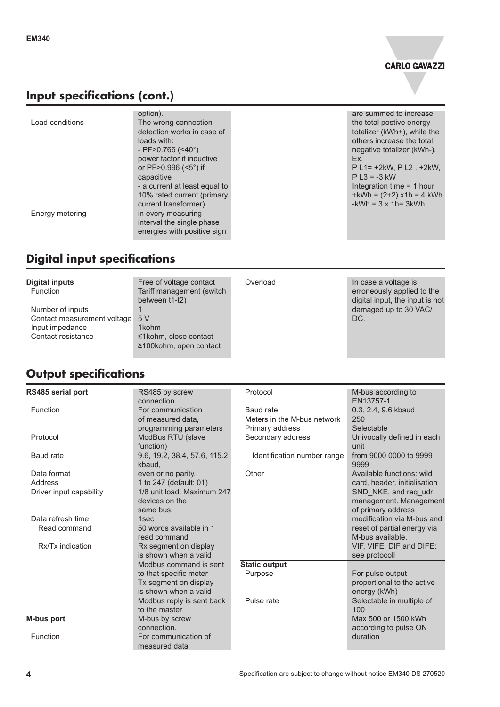

#### **Input specifications (cont.)**

|                 | option).                      | are s           |
|-----------------|-------------------------------|-----------------|
| Load conditions | The wrong connection          | the t           |
|                 | detection works in case of    | total           |
|                 | loads with:                   | othe            |
|                 | - PF>0.766 $(<10°$ )          | nega            |
|                 | power factor if inductive     | Ex.             |
|                 | or PF>0.996 (<5°) if          | P <sub>L1</sub> |
|                 | capacitive                    | P <sub>L3</sub> |
|                 | - a current at least equal to | Inted           |
|                 | 10% rated current (primary    | $+kW$           |
|                 | current transformer)          | -kWl            |
| Energy metering | in every measuring            |                 |
|                 | interval the single phase     |                 |
|                 | energies with positive sign   |                 |
|                 |                               |                 |

### **Digital input specifications**

| <b>Digital inputs</b><br><b>Function</b>                                                 | Free of voltage contact<br>Tariff management (switch<br>between t1-t2) | Overload | In case a voltage is<br>erroneously applied to the<br>digital input, the input is not |
|------------------------------------------------------------------------------------------|------------------------------------------------------------------------|----------|---------------------------------------------------------------------------------------|
| Number of inputs<br>Contact measurement voltage<br>Input impedance<br>Contact resistance | 5 V<br>1kohm<br>≤1kohm, close contact<br>$\geq$ 100kohm, open contact  |          | damaged up to 30 VAC/<br>DC.                                                          |

# **Output specifications**

| RS485 serial port       | RS485 by screw               | Protocol                    | M-bus according to           |
|-------------------------|------------------------------|-----------------------------|------------------------------|
|                         | connection.                  |                             | EN13757-1                    |
| Function                | For communication            | Baud rate                   | 0.3, 2.4, 9.6 kbaud          |
|                         | of measured data,            | Meters in the M-bus network | 250                          |
|                         | programming parameters       | Primary address             | Selectable                   |
| Protocol                | ModBus RTU (slave            | Secondary address           | Univocally defined in each   |
|                         | function)                    |                             | unit                         |
| Baud rate               | 9.6, 19.2, 38.4, 57.6, 115.2 | Identification number range | from 9000 0000 to 9999       |
|                         | kbaud.                       |                             | 9999                         |
| Data format             | even or no parity,           | Other                       | Available functions: wild    |
| Address                 | 1 to 247 (default: 01)       |                             | card, header, initialisation |
| Driver input capability | 1/8 unit load. Maximum 247   |                             | SND NKE, and req udr         |
|                         | devices on the               |                             | management. Management       |
|                         | same bus.                    |                             | of primary address           |
| Data refresh time       | 1sec                         |                             | modification via M-bus and   |
| Read command            | 50 words available in 1      |                             | reset of partial energy via  |
|                         | read command                 |                             | M-bus available.             |
| Rx/Tx indication        | Rx segment on display        |                             | VIF, VIFE, DIF and DIFE:     |
|                         | is shown when a valid        |                             | see protocoll                |
|                         | Modbus command is sent       | <b>Static output</b>        |                              |
|                         | to that specific meter       | Purpose                     | For pulse output             |
|                         | Tx segment on display        |                             | proportional to the active   |
|                         | is shown when a valid        |                             | energy (kWh)                 |
|                         | Modbus reply is sent back    | Pulse rate                  | Selectable in multiple of    |
|                         | to the master                |                             | 100                          |
| <b>M-bus port</b>       | M-bus by screw               |                             | Max 500 or 1500 kWh          |
|                         | connection.                  |                             | according to pulse ON        |
| Function                | For communication of         |                             | duration                     |
|                         | measured data                |                             |                              |

summed to increase total postive energy izer (kWh+), while the rs increase the total ative totalizer (kWh-).  $I = +2kW, P L2 . +2kW,$  $3 = -3$  kW gration time  $= 1$  hour  $/h = (2+2)$  x1h = 4 kWh  $h = 3 x 1h = 3kWh$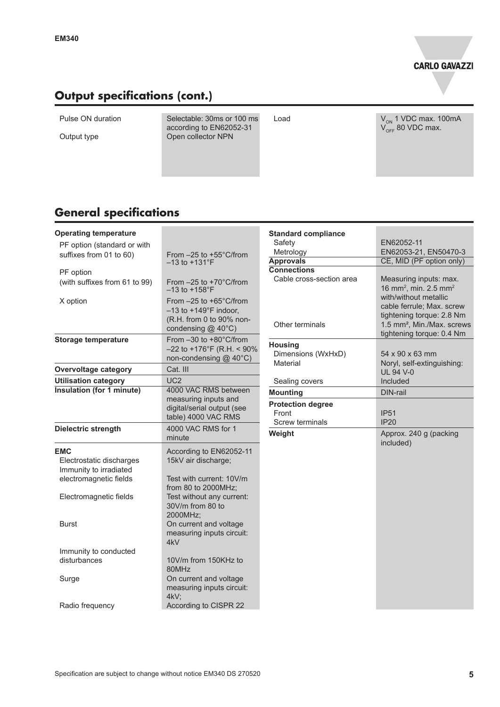### **Output specifications (cont.)**

Pulse ON duration Selectable: 30ms or 100 ms according to EN62052-31 Output type **Open collector NPN** 

Load  $V_{\text{on}}$  1 VDC max. 100mA  $\rm V_{\rm OFF}$  80 VDC max.

### **General specifications**

|                                                                                                               | <b>Standard compliance</b>                                                                                                                              |                                                                                                                                                        |
|---------------------------------------------------------------------------------------------------------------|---------------------------------------------------------------------------------------------------------------------------------------------------------|--------------------------------------------------------------------------------------------------------------------------------------------------------|
|                                                                                                               | Safety                                                                                                                                                  | EN62052-11                                                                                                                                             |
| From $-25$ to $+55^{\circ}$ C/from                                                                            |                                                                                                                                                         | EN62053-21, EN50470-3                                                                                                                                  |
| $-13$ to $+131$ °F                                                                                            |                                                                                                                                                         | CE, MID (PF option only)                                                                                                                               |
|                                                                                                               |                                                                                                                                                         |                                                                                                                                                        |
| $-13$ to $+158$ °F                                                                                            |                                                                                                                                                         | Measuring inputs: max.<br>16 mm <sup>2</sup> , min. 2.5 mm <sup>2</sup>                                                                                |
| From -25 to +65°C/from<br>$-13$ to $+149^{\circ}$ F indoor,<br>(R.H. from 0 to 90% non-<br>condensing @ 40°C) | Other terminals                                                                                                                                         | with/without metallic<br>cable ferrule; Max. screw<br>tightening torque: 2.8 Nm<br>1.5 mm <sup>2</sup> , Min./Max. screws<br>tightening torque: 0.4 Nm |
| From -30 to +80°C/from<br>$-22$ to +176°F (R.H. < 90%<br>non-condensing @ 40°C)                               | <b>Housing</b><br>Dimensions (WxHxD)                                                                                                                    | $54 \times 90 \times 63$ mm<br>Noryl, self-extinguishing:                                                                                              |
| Cat. III                                                                                                      |                                                                                                                                                         | <b>UL 94 V-0</b>                                                                                                                                       |
| UC2                                                                                                           |                                                                                                                                                         | Included                                                                                                                                               |
| 4000 VAC RMS between                                                                                          |                                                                                                                                                         | DIN-rail                                                                                                                                               |
| digital/serial output (see                                                                                    | <b>Protection degree</b><br>Front                                                                                                                       | <b>IP51</b>                                                                                                                                            |
| 4000 VAC RMS for 1<br>minute                                                                                  | Weight                                                                                                                                                  | IP20<br>Approx. 240 g (packing                                                                                                                         |
|                                                                                                               |                                                                                                                                                         | included)                                                                                                                                              |
| 15kV air discharge;                                                                                           |                                                                                                                                                         |                                                                                                                                                        |
| Test with current: 10V/m                                                                                      |                                                                                                                                                         |                                                                                                                                                        |
| Test without any current:<br>30V/m from 80 to                                                                 |                                                                                                                                                         |                                                                                                                                                        |
| On current and voltage<br>measuring inputs circuit:<br>4kV                                                    |                                                                                                                                                         |                                                                                                                                                        |
| 10V/m from 150KHz to                                                                                          |                                                                                                                                                         |                                                                                                                                                        |
| On current and voltage<br>measuring inputs circuit:                                                           |                                                                                                                                                         |                                                                                                                                                        |
| According to CISPR 22                                                                                         |                                                                                                                                                         |                                                                                                                                                        |
|                                                                                                               | From -25 to +70°C/from<br>measuring inputs and<br>table) 4000 VAC RMS<br>According to EN62052-11<br>from 80 to 2000MHz;<br>2000MHz;<br>80MHz<br>$4kV$ ; | Metrology<br><b>Approvals</b><br><b>Connections</b><br>Cable cross-section area<br>Material<br>Sealing covers<br><b>Mounting</b><br>Screw terminals    |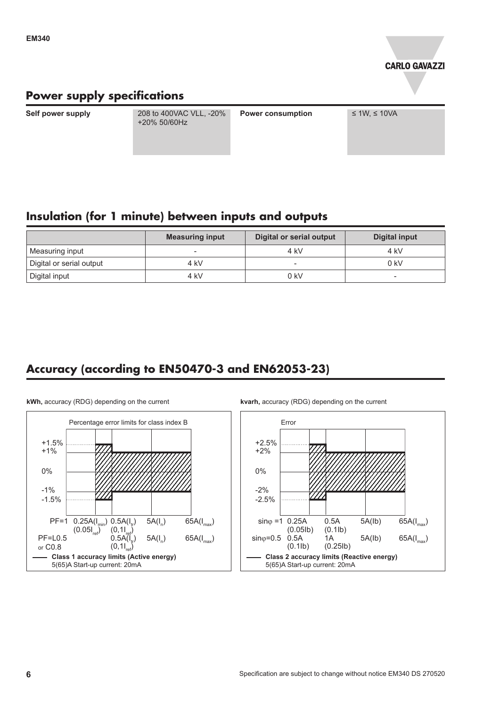

# **Power supply specifications**

**Self power supply** 208 to 400VAC VLL, -20% +20% 50/60Hz

**Power consumption ≤ 1W, ≤ 10VA** 

#### **Insulation (for 1 minute) between inputs and outputs**

|                          | <b>Measuring input</b>   | <b>Digital or serial output</b> | Digital input |
|--------------------------|--------------------------|---------------------------------|---------------|
| Measuring input          | $\overline{\phantom{0}}$ | 4 kV                            | 4 kV          |
| Digital or serial output | 4 kV                     | $\overline{\phantom{a}}$        | 0 kV          |
| Digital input            | 4 kV                     | 0 kV                            |               |

### **Accuracy (according to EN50470-3 and EN62053-23)**



**kWh,** accuracy (RDG) depending on the current

**kvarh,** accuracy (RDG) depending on the current

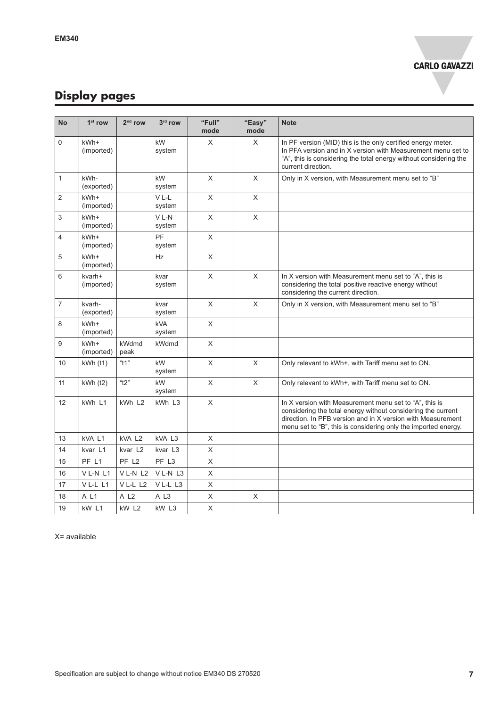# **Display pages**

| <b>No</b>      | $1st$ row            | 2 <sup>nd</sup> row | 3rd row           | "Full"<br>mode | "Easy"<br>mode | <b>Note</b>                                                                                                                                                                                                                                             |
|----------------|----------------------|---------------------|-------------------|----------------|----------------|---------------------------------------------------------------------------------------------------------------------------------------------------------------------------------------------------------------------------------------------------------|
| 0              | kWh+<br>(imported)   |                     | kW<br>system      | X              | X              | In PF version (MID) this is the only certified energy meter.<br>In PFA version and in X version with Measurement menu set to<br>"A", this is considering the total energy without considering the<br>current direction.                                 |
| $\mathbf{1}$   | kWh-<br>(exported)   |                     | kW<br>system      | $\mathsf X$    | X              | Only in X version, with Measurement menu set to "B"                                                                                                                                                                                                     |
| $\overline{2}$ | kWh+<br>(imported)   |                     | VL-L<br>system    | $\pmb{\times}$ | X              |                                                                                                                                                                                                                                                         |
| 3              | kWh+<br>(imported)   |                     | VL-N<br>system    | $\mathsf{X}$   | $\mathsf X$    |                                                                                                                                                                                                                                                         |
| 4              | kWh+<br>(imported)   |                     | PF<br>system      | X              |                |                                                                                                                                                                                                                                                         |
| 5              | kWh+<br>(imported)   |                     | Hz                | X              |                |                                                                                                                                                                                                                                                         |
| 6              | kvarh+<br>(imported) |                     | kvar<br>system    | X              | X              | In X version with Measurement menu set to "A", this is<br>considering the total positive reactive energy without<br>considering the current direction.                                                                                                  |
| $\overline{7}$ | kvarh-<br>(exported) |                     | kvar<br>system    | $\pmb{\times}$ | $\mathsf{X}$   | Only in X version, with Measurement menu set to "B"                                                                                                                                                                                                     |
| 8              | kWh+<br>(imported)   |                     | kVA<br>system     | X              |                |                                                                                                                                                                                                                                                         |
| 9              | kWh+<br>(imported)   | kWdmd<br>peak       | kWdmd             | X              |                |                                                                                                                                                                                                                                                         |
| 10             | kWh(11)              | "t1"                | kW<br>system      | X              | X              | Only relevant to kWh+, with Tariff menu set to ON.                                                                                                                                                                                                      |
| 11             | $kWh$ (t2)           | "t2"                | kW<br>system      | X              | $\mathsf{X}$   | Only relevant to kWh+, with Tariff menu set to ON.                                                                                                                                                                                                      |
| 12             | kWh L1               | kWh L2              | kWh L3            | X              |                | In X version with Measurement menu set to "A", this is<br>considering the total energy without considering the current<br>direction. In PFB version and in X version with Measurement<br>menu set to "B", this is considering only the imported energy. |
| 13             | kVA L1               | kVA L <sub>2</sub>  | kVA L3            | X              |                |                                                                                                                                                                                                                                                         |
| 14             | kvar L1              | kvar L2             | kvar L3           | $\sf X$        |                |                                                                                                                                                                                                                                                         |
| 15             | PF L1                | PF L <sub>2</sub>   | PF L <sub>3</sub> | X              |                |                                                                                                                                                                                                                                                         |
| 16             | VL-NL1               | VL-NL2              | VL-NL3            | X              |                |                                                                                                                                                                                                                                                         |
| 17             | VL-LL1               | VL-LL2              | VL-LL3            | X              |                |                                                                                                                                                                                                                                                         |
| 18             | A L1                 | A L <sub>2</sub>    | A L <sub>3</sub>  | X              | X              |                                                                                                                                                                                                                                                         |
| 19             | kW L1                | kW <sub>L2</sub>    | kW L3             | X              |                |                                                                                                                                                                                                                                                         |

X= available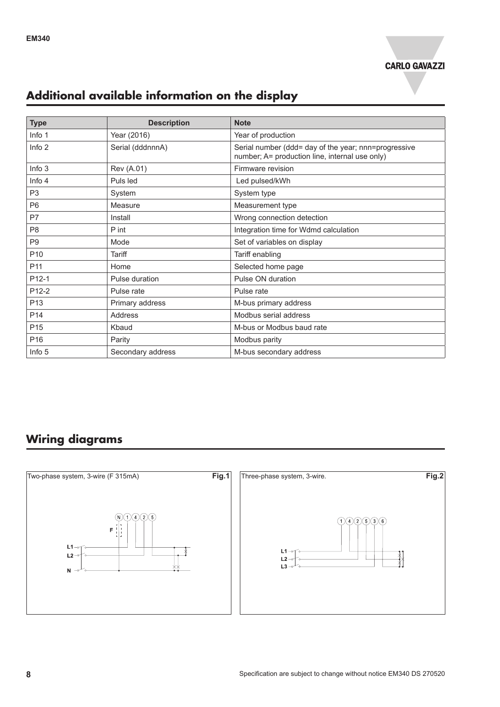

# **Additional available information on the display**

| <b>Type</b>       | <b>Description</b> | <b>Note</b>                                                                                            |
|-------------------|--------------------|--------------------------------------------------------------------------------------------------------|
| Info 1            | Year (2016)        | Year of production                                                                                     |
| Info $2$          | Serial (dddnnnA)   | Serial number (ddd= day of the year; nnn=progressive<br>number; A= production line, internal use only) |
| Info <sub>3</sub> | Rev (A.01)         | Firmware revision                                                                                      |
| Info 4            | Puls led           | Led pulsed/kWh                                                                                         |
| P <sub>3</sub>    | System             | System type                                                                                            |
| P <sub>6</sub>    | Measure            | Measurement type                                                                                       |
| P7                | Install            | Wrong connection detection                                                                             |
| P <sub>8</sub>    | P int              | Integration time for Wdmd calculation                                                                  |
| P <sub>9</sub>    | Mode               | Set of variables on display                                                                            |
| P <sub>10</sub>   | <b>Tariff</b>      | Tariff enabling                                                                                        |
| P <sub>11</sub>   | Home               | Selected home page                                                                                     |
| P12-1             | Pulse duration     | Pulse ON duration                                                                                      |
| P12-2             | Pulse rate         | Pulse rate                                                                                             |
| P <sub>13</sub>   | Primary address    | M-bus primary address                                                                                  |
| P <sub>14</sub>   | <b>Address</b>     | Modbus serial address                                                                                  |
| P <sub>15</sub>   | Kbaud              | M-bus or Modbus baud rate                                                                              |
| P <sub>16</sub>   | Parity             | Modbus parity                                                                                          |
| Info 5            | Secondary address  | M-bus secondary address                                                                                |

# **Wiring diagrams**

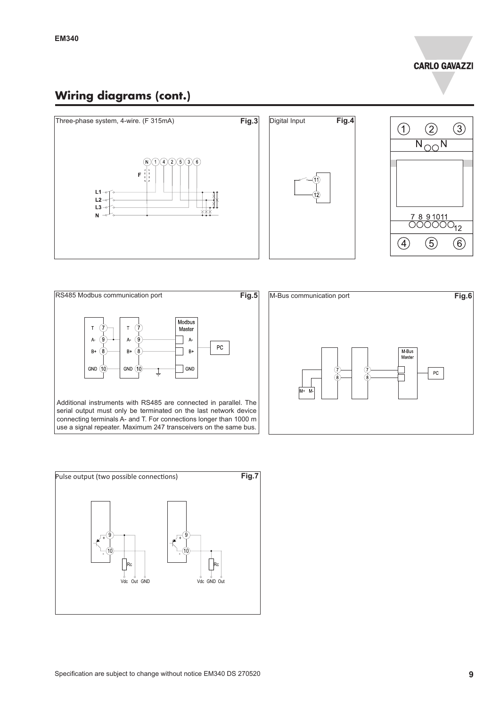#### **Wiring diagrams (cont.)**